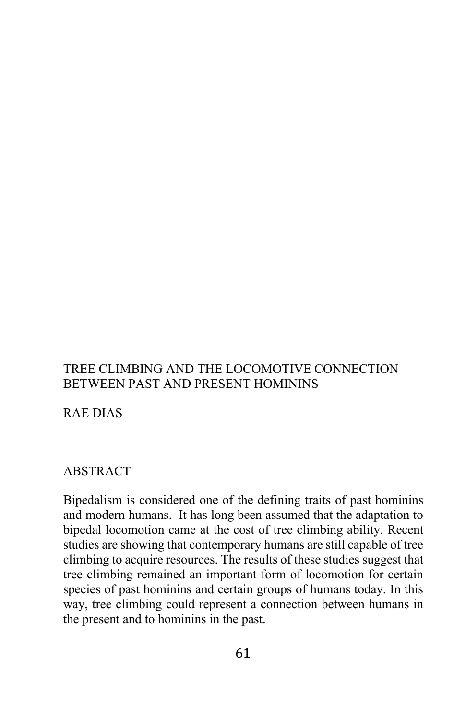# TREE CLIMBING AND THE LOCOMOTIVE CONNECTION BETWEEN PAST AND PRESENT HOMININS

RAE DIAS

### ABSTRACT

Bipedalism is considered one of the defining traits of past hominins and modern humans. It has long been assumed that the adaptation to bipedal locomotion came at the cost of tree climbing ability. Recent studies are showing that contemporary humans are still capable of tree climbing to acquire resources. The results of these studies suggest that tree climbing remained an important form of locomotion for certain species of past hominins and certain groups of humans today. In this way, tree climbing could represent a connection between humans in the present and to hominins in the past.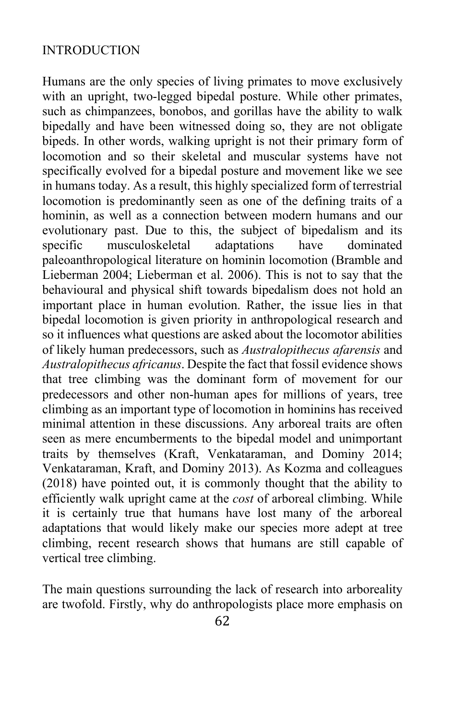## INTRODUCTION

Humans are the only species of living primates to move exclusively with an upright, two-legged bipedal posture. While other primates, such as chimpanzees, bonobos, and gorillas have the ability to walk bipedally and have been witnessed doing so, they are not obligate bipeds. In other words, walking upright is not their primary form of locomotion and so their skeletal and muscular systems have not specifically evolved for a bipedal posture and movement like we see in humans today. As a result, this highly specialized form of terrestrial locomotion is predominantly seen as one of the defining traits of a hominin, as well as a connection between modern humans and our evolutionary past. Due to this, the subject of bipedalism and its specific musculoskeletal adaptations have dominated paleoanthropological literature on hominin locomotion (Bramble and Lieberman 2004; Lieberman et al. 2006). This is not to say that the behavioural and physical shift towards bipedalism does not hold an important place in human evolution. Rather, the issue lies in that bipedal locomotion is given priority in anthropological research and so it influences what questions are asked about the locomotor abilities of likely human predecessors, such as *Australopithecus afarensis* and *Australopithecus africanus*. Despite the fact that fossil evidence shows that tree climbing was the dominant form of movement for our predecessors and other non-human apes for millions of years, tree climbing as an important type of locomotion in hominins has received minimal attention in these discussions. Any arboreal traits are often seen as mere encumberments to the bipedal model and unimportant traits by themselves (Kraft, Venkataraman, and Dominy 2014; Venkataraman, Kraft, and Dominy 2013). As Kozma and colleagues (2018) have pointed out, it is commonly thought that the ability to efficiently walk upright came at the *cost* of arboreal climbing. While it is certainly true that humans have lost many of the arboreal adaptations that would likely make our species more adept at tree climbing, recent research shows that humans are still capable of vertical tree climbing.

The main questions surrounding the lack of research into arboreality are twofold. Firstly, why do anthropologists place more emphasis on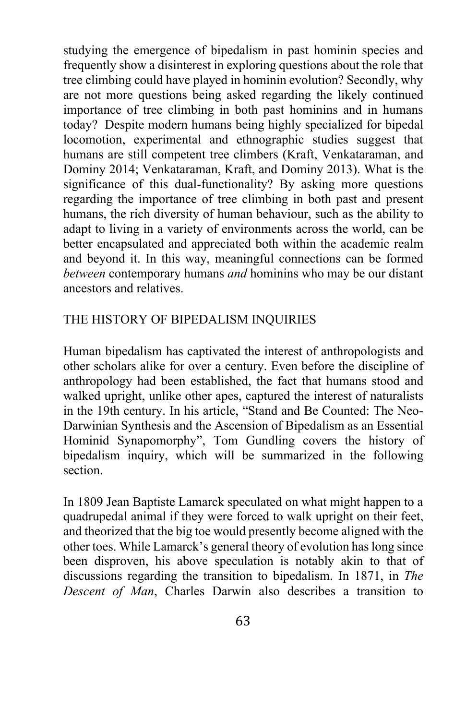studying the emergence of bipedalism in past hominin species and frequently show a disinterest in exploring questions about the role that tree climbing could have played in hominin evolution? Secondly, why are not more questions being asked regarding the likely continued importance of tree climbing in both past hominins and in humans today? Despite modern humans being highly specialized for bipedal locomotion, experimental and ethnographic studies suggest that humans are still competent tree climbers (Kraft, Venkataraman, and Dominy 2014; Venkataraman, Kraft, and Dominy 2013). What is the significance of this dual-functionality? By asking more questions regarding the importance of tree climbing in both past and present humans, the rich diversity of human behaviour, such as the ability to adapt to living in a variety of environments across the world, can be better encapsulated and appreciated both within the academic realm and beyond it. In this way, meaningful connections can be formed *between* contemporary humans *and* hominins who may be our distant ancestors and relatives.

## THE HISTORY OF BIPEDALISM INQUIRIES

Human bipedalism has captivated the interest of anthropologists and other scholars alike for over a century. Even before the discipline of anthropology had been established, the fact that humans stood and walked upright, unlike other apes, captured the interest of naturalists in the 19th century. In his article, "Stand and Be Counted: The Neo-Darwinian Synthesis and the Ascension of Bipedalism as an Essential Hominid Synapomorphy", Tom Gundling covers the history of bipedalism inquiry, which will be summarized in the following section.

In 1809 Jean Baptiste Lamarck speculated on what might happen to a quadrupedal animal if they were forced to walk upright on their feet, and theorized that the big toe would presently become aligned with the other toes. While Lamarck's general theory of evolution has long since been disproven, his above speculation is notably akin to that of discussions regarding the transition to bipedalism. In 1871, in *The Descent of Man*, Charles Darwin also describes a transition to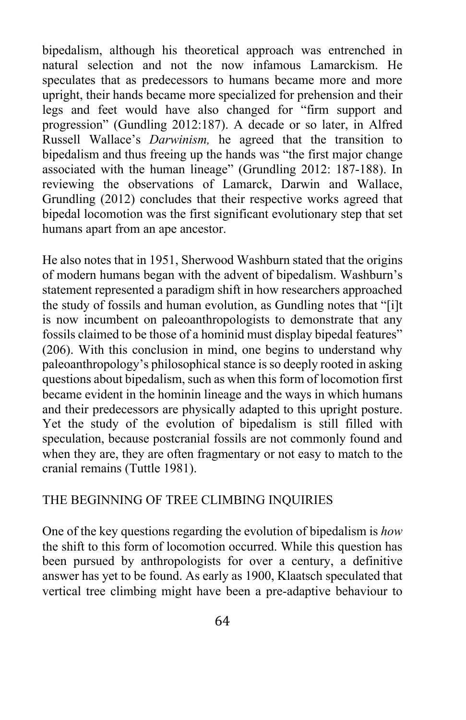bipedalism, although his theoretical approach was entrenched in natural selection and not the now infamous Lamarckism. He speculates that as predecessors to humans became more and more upright, their hands became more specialized for prehension and their legs and feet would have also changed for "firm support and progression" (Gundling 2012:187). A decade or so later, in Alfred Russell Wallace's *Darwinism,* he agreed that the transition to bipedalism and thus freeing up the hands was "the first major change associated with the human lineage" (Grundling 2012: 187-188). In reviewing the observations of Lamarck, Darwin and Wallace, Grundling (2012) concludes that their respective works agreed that bipedal locomotion was the first significant evolutionary step that set humans apart from an ape ancestor.

He also notes that in 1951, Sherwood Washburn stated that the origins of modern humans began with the advent of bipedalism. Washburn's statement represented a paradigm shift in how researchers approached the study of fossils and human evolution, as Gundling notes that "[i]t is now incumbent on paleoanthropologists to demonstrate that any fossils claimed to be those of a hominid must display bipedal features" (206). With this conclusion in mind, one begins to understand why paleoanthropology's philosophical stance is so deeply rooted in asking questions about bipedalism, such as when this form of locomotion first became evident in the hominin lineage and the ways in which humans and their predecessors are physically adapted to this upright posture. Yet the study of the evolution of bipedalism is still filled with speculation, because postcranial fossils are not commonly found and when they are, they are often fragmentary or not easy to match to the cranial remains (Tuttle 1981).

## THE BEGINNING OF TREE CLIMBING INQUIRIES

One of the key questions regarding the evolution of bipedalism is *how*  the shift to this form of locomotion occurred. While this question has been pursued by anthropologists for over a century, a definitive answer has yet to be found. As early as 1900, Klaatsch speculated that vertical tree climbing might have been a pre-adaptive behaviour to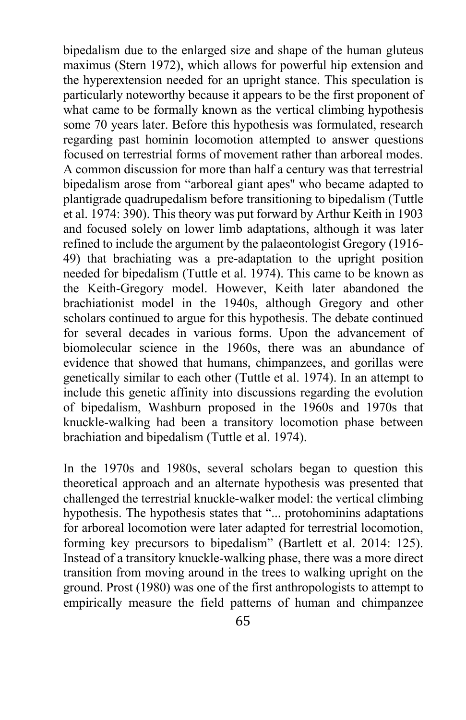bipedalism due to the enlarged size and shape of the human gluteus maximus (Stern 1972), which allows for powerful hip extension and the hyperextension needed for an upright stance. This speculation is particularly noteworthy because it appears to be the first proponent of what came to be formally known as the vertical climbing hypothesis some 70 years later. Before this hypothesis was formulated, research regarding past hominin locomotion attempted to answer questions focused on terrestrial forms of movement rather than arboreal modes. A common discussion for more than half a century was that terrestrial bipedalism arose from "arboreal giant apes'' who became adapted to plantigrade quadrupedalism before transitioning to bipedalism (Tuttle et al. 1974: 390). This theory was put forward by Arthur Keith in 1903 and focused solely on lower limb adaptations, although it was later refined to include the argument by the palaeontologist Gregory (1916- 49) that brachiating was a pre-adaptation to the upright position needed for bipedalism (Tuttle et al. 1974). This came to be known as the Keith-Gregory model. However, Keith later abandoned the brachiationist model in the 1940s, although Gregory and other scholars continued to argue for this hypothesis. The debate continued for several decades in various forms. Upon the advancement of biomolecular science in the 1960s, there was an abundance of evidence that showed that humans, chimpanzees, and gorillas were genetically similar to each other (Tuttle et al. 1974). In an attempt to include this genetic affinity into discussions regarding the evolution of bipedalism, Washburn proposed in the 1960s and 1970s that knuckle-walking had been a transitory locomotion phase between brachiation and bipedalism (Tuttle et al. 1974).

In the 1970s and 1980s, several scholars began to question this theoretical approach and an alternate hypothesis was presented that challenged the terrestrial knuckle-walker model: the vertical climbing hypothesis. The hypothesis states that "... protohominins adaptations for arboreal locomotion were later adapted for terrestrial locomotion, forming key precursors to bipedalism" (Bartlett et al. 2014: 125). Instead of a transitory knuckle-walking phase, there was a more direct transition from moving around in the trees to walking upright on the ground. Prost (1980) was one of the first anthropologists to attempt to empirically measure the field patterns of human and chimpanzee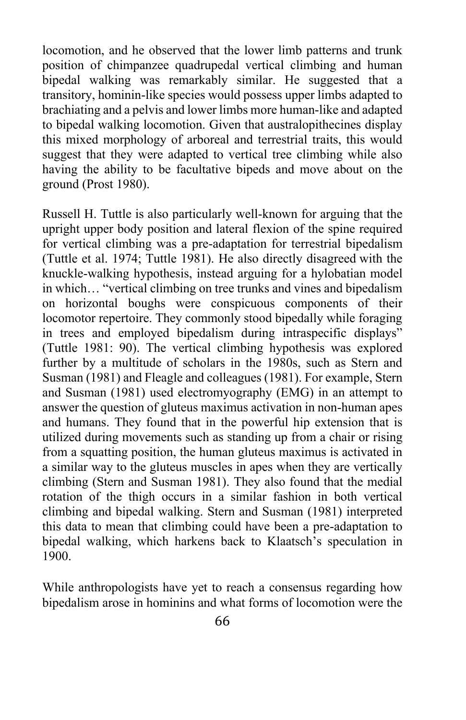locomotion, and he observed that the lower limb patterns and trunk position of chimpanzee quadrupedal vertical climbing and human bipedal walking was remarkably similar. He suggested that a transitory, hominin-like species would possess upper limbs adapted to brachiating and a pelvis and lower limbs more human-like and adapted to bipedal walking locomotion. Given that australopithecines display this mixed morphology of arboreal and terrestrial traits, this would suggest that they were adapted to vertical tree climbing while also having the ability to be facultative bipeds and move about on the ground (Prost 1980).

Russell H. Tuttle is also particularly well-known for arguing that the upright upper body position and lateral flexion of the spine required for vertical climbing was a pre-adaptation for terrestrial bipedalism (Tuttle et al. 1974; Tuttle 1981). He also directly disagreed with the knuckle-walking hypothesis, instead arguing for a hylobatian model in which… "vertical climbing on tree trunks and vines and bipedalism on horizontal boughs were conspicuous components of their locomotor repertoire. They commonly stood bipedally while foraging in trees and employed bipedalism during intraspecific displays" (Tuttle 1981: 90). The vertical climbing hypothesis was explored further by a multitude of scholars in the 1980s, such as Stern and Susman (1981) and Fleagle and colleagues (1981). For example, Stern and Susman (1981) used electromyography (EMG) in an attempt to answer the question of gluteus maximus activation in non-human apes and humans. They found that in the powerful hip extension that is utilized during movements such as standing up from a chair or rising from a squatting position, the human gluteus maximus is activated in a similar way to the gluteus muscles in apes when they are vertically climbing (Stern and Susman 1981). They also found that the medial rotation of the thigh occurs in a similar fashion in both vertical climbing and bipedal walking. Stern and Susman (1981) interpreted this data to mean that climbing could have been a pre-adaptation to bipedal walking, which harkens back to Klaatsch's speculation in 1900.

While anthropologists have yet to reach a consensus regarding how bipedalism arose in hominins and what forms of locomotion were the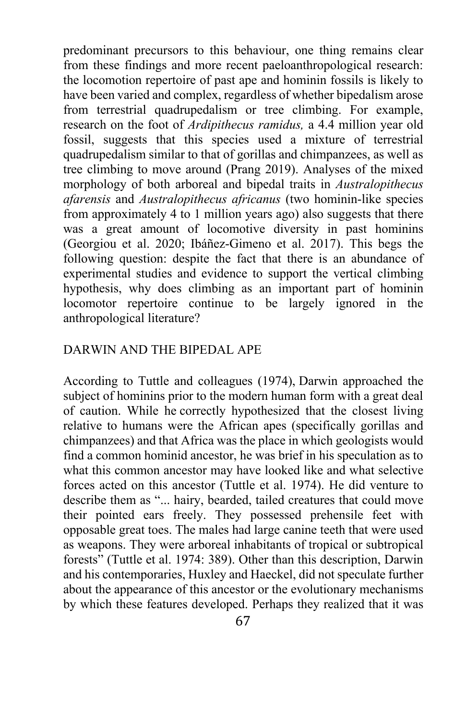predominant precursors to this behaviour, one thing remains clear from these findings and more recent paeloanthropological research: the locomotion repertoire of past ape and hominin fossils is likely to have been varied and complex, regardless of whether bipedalism arose from terrestrial quadrupedalism or tree climbing. For example, research on the foot of *Ardipithecus ramidus,* a 4.4 million year old fossil, suggests that this species used a mixture of terrestrial quadrupedalism similar to that of gorillas and chimpanzees, as well as tree climbing to move around (Prang 2019). Analyses of the mixed morphology of both arboreal and bipedal traits in *Australopithecus afarensis* and *Australopithecus africanus* (two hominin-like species from approximately 4 to 1 million years ago) also suggests that there was a great amount of locomotive diversity in past hominins (Georgiou et al. 2020; Ibáñez-Gimeno et al. 2017). This begs the following question: despite the fact that there is an abundance of experimental studies and evidence to support the vertical climbing hypothesis, why does climbing as an important part of hominin locomotor repertoire continue to be largely ignored in the anthropological literature?

### DARWIN AND THE BIPEDAL APE

According to Tuttle and colleagues (1974), Darwin approached the subject of hominins prior to the modern human form with a great deal of caution. While he correctly hypothesized that the closest living relative to humans were the African apes (specifically gorillas and chimpanzees) and that Africa was the place in which geologists would find a common hominid ancestor, he was brief in his speculation as to what this common ancestor may have looked like and what selective forces acted on this ancestor (Tuttle et al. 1974). He did venture to describe them as "... hairy, bearded, tailed creatures that could move their pointed ears freely. They possessed prehensile feet with opposable great toes. The males had large canine teeth that were used as weapons. They were arboreal inhabitants of tropical or subtropical forests" (Tuttle et al. 1974: 389). Other than this description, Darwin and his contemporaries, Huxley and Haeckel, did not speculate further about the appearance of this ancestor or the evolutionary mechanisms by which these features developed. Perhaps they realized that it was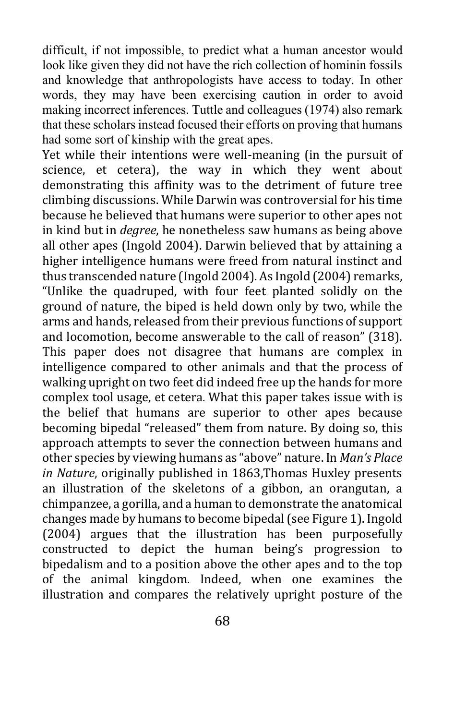difficult, if not impossible, to predict what a human ancestor would look like given they did not have the rich collection of hominin fossils and knowledge that anthropologists have access to today. In other words, they may have been exercising caution in order to avoid making incorrect inferences. Tuttle and colleagues (1974) also remark that these scholars instead focused their efforts on proving that humans had some sort of kinship with the great apes.

Yet while their intentions were well-meaning (in the pursuit of science, et cetera), the way in which they went about demonstrating this affinity was to the detriment of future tree climbing discussions. While Darwin was controversial for his time because he believed that humans were superior to other apes not in kind but in *degree*, he nonetheless saw humans as being above all other apes (Ingold 2004). Darwin believed that by attaining a higher intelligence humans were freed from natural instinct and thus transcended nature (Ingold 2004). As Ingold (2004) remarks, "Unlike the quadruped, with four feet planted solidly on the ground of nature, the biped is held down only by two, while the arms and hands, released from their previous functions of support and locomotion, become answerable to the call of reason" (318). This paper does not disagree that humans are complex in intelligence compared to other animals and that the process of walking upright on two feet did indeed free up the hands for more complex tool usage, et cetera. What this paper takes issue with is the belief that humans are superior to other apes because becoming bipedal "released" them from nature. By doing so, this approach attempts to sever the connection between humans and other species by viewing humans as "above" nature. In *Man's Place in Nature*, originally published in 1863,Thomas Huxley presents an illustration of the skeletons of a gibbon, an orangutan, a chimpanzee, a gorilla, and a human to demonstrate the anatomical changes made by humans to become bipedal (see Figure 1). Ingold (2004) argues that the illustration has been purposefully constructed to depict the human being's progression to bipedalism and to a position above the other apes and to the top of the animal kingdom. Indeed, when one examines the illustration and compares the relatively upright posture of the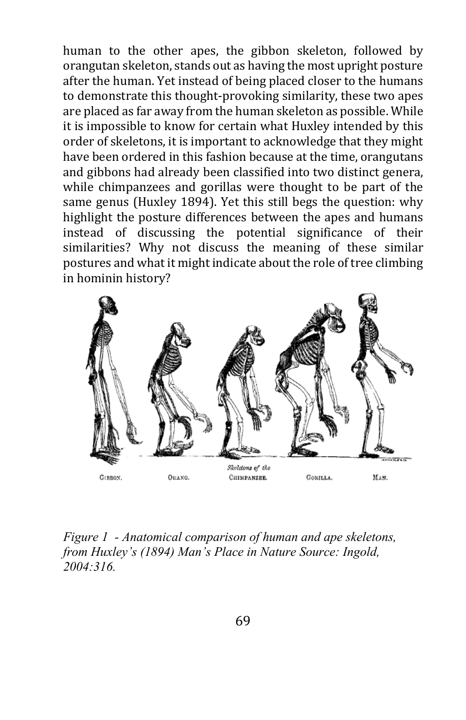human to the other apes, the gibbon skeleton, followed by orangutan skeleton, stands out as having the most upright posture after the human. Yet instead of being placed closer to the humans to demonstrate this thought-provoking similarity, these two apes are placed as far away from the human skeleton as possible. While it is impossible to know for certain what Huxley intended by this order of skeletons, it is important to acknowledge that they might have been ordered in this fashion because at the time, orangutans and gibbons had already been classified into two distinct genera, while chimpanzees and gorillas were thought to be part of the same genus (Huxley 1894). Yet this still begs the question: why highlight the posture differences between the apes and humans instead of discussing the potential significance of their similarities? Why not discuss the meaning of these similar postures and what it might indicate about the role of tree climbing in hominin history?



*Figure 1 - Anatomical comparison of human and ape skeletons, from Huxley's (1894) Man's Place in Nature Source: Ingold, 2004:316.*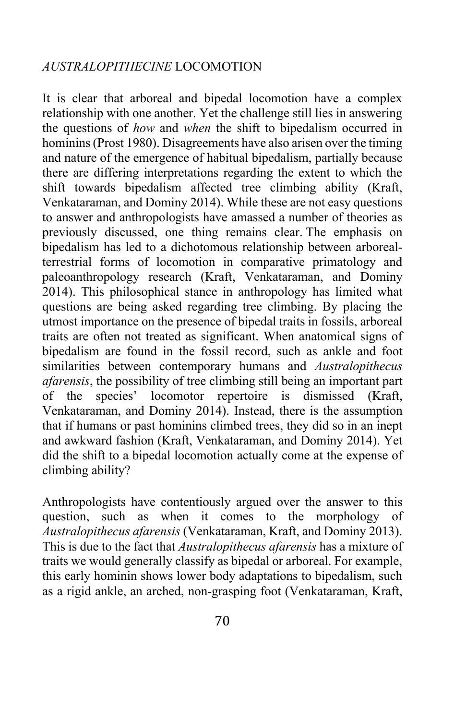## *AUSTRALOPITHECINE* LOCOMOTION

It is clear that arboreal and bipedal locomotion have a complex relationship with one another. Yet the challenge still lies in answering the questions of *how* and *when* the shift to bipedalism occurred in hominins (Prost 1980). Disagreements have also arisen over the timing and nature of the emergence of habitual bipedalism, partially because there are differing interpretations regarding the extent to which the shift towards bipedalism affected tree climbing ability (Kraft, Venkataraman, and Dominy 2014). While these are not easy questions to answer and anthropologists have amassed a number of theories as previously discussed, one thing remains clear. The emphasis on bipedalism has led to a dichotomous relationship between arborealterrestrial forms of locomotion in comparative primatology and paleoanthropology research (Kraft, Venkataraman, and Dominy 2014). This philosophical stance in anthropology has limited what questions are being asked regarding tree climbing. By placing the utmost importance on the presence of bipedal traits in fossils, arboreal traits are often not treated as significant. When anatomical signs of bipedalism are found in the fossil record, such as ankle and foot similarities between contemporary humans and *Australopithecus afarensis*, the possibility of tree climbing still being an important part of the species' locomotor repertoire is dismissed (Kraft, Venkataraman, and Dominy 2014). Instead, there is the assumption that if humans or past hominins climbed trees, they did so in an inept and awkward fashion (Kraft, Venkataraman, and Dominy 2014). Yet did the shift to a bipedal locomotion actually come at the expense of climbing ability?

Anthropologists have contentiously argued over the answer to this question, such as when it comes to the morphology of *Australopithecus afarensis* (Venkataraman, Kraft, and Dominy 2013). This is due to the fact that *Australopithecus afarensis* has a mixture of traits we would generally classify as bipedal or arboreal. For example, this early hominin shows lower body adaptations to bipedalism, such as a rigid ankle, an arched, non-grasping foot (Venkataraman, Kraft,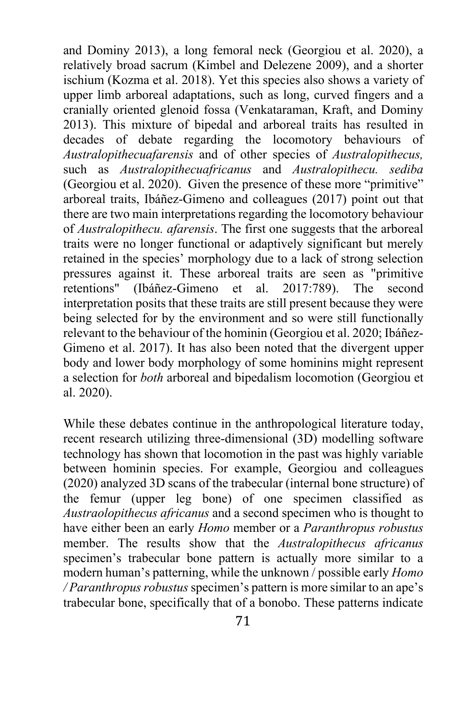and Dominy 2013), a long femoral neck (Georgiou et al. 2020), a relatively broad sacrum (Kimbel and Delezene 2009), and a shorter ischium (Kozma et al. 2018). Yet this species also shows a variety of upper limb arboreal adaptations, such as long, curved fingers and a cranially oriented glenoid fossa (Venkataraman, Kraft, and Dominy 2013). This mixture of bipedal and arboreal traits has resulted in decades of debate regarding the locomotory behaviours of *Australopithecuafarensis* and of other species of *Australopithecus,*  such as *Australopithecuafricanus* and *Australopithecu. sediba*  (Georgiou et al. 2020). Given the presence of these more "primitive" arboreal traits, Ibáñez-Gimeno and colleagues (2017) point out that there are two main interpretations regarding the locomotory behaviour of *Australopithecu. afarensis*. The first one suggests that the arboreal traits were no longer functional or adaptively significant but merely retained in the species' morphology due to a lack of strong selection pressures against it. These arboreal traits are seen as "primitive retentions" (Ibáñez-Gimeno et al. 2017:789). The second interpretation posits that these traits are still present because they were being selected for by the environment and so were still functionally relevant to the behaviour of the hominin (Georgiou et al. 2020; Ibáñez-Gimeno et al. 2017). It has also been noted that the divergent upper body and lower body morphology of some hominins might represent a selection for *both* arboreal and bipedalism locomotion (Georgiou et al. 2020).

While these debates continue in the anthropological literature today, recent research utilizing three-dimensional (3D) modelling software technology has shown that locomotion in the past was highly variable between hominin species. For example, Georgiou and colleagues (2020) analyzed 3D scans of the trabecular (internal bone structure) of the femur (upper leg bone) of one specimen classified as *Austraolopithecus africanus* and a second specimen who is thought to have either been an early *Homo* member or a *Paranthropus robustus* member. The results show that the *Australopithecus africanus*  specimen's trabecular bone pattern is actually more similar to a modern human's patterning, while the unknown / possible early *Homo / Paranthropus robustus* specimen's pattern is more similar to an ape's trabecular bone, specifically that of a bonobo. These patterns indicate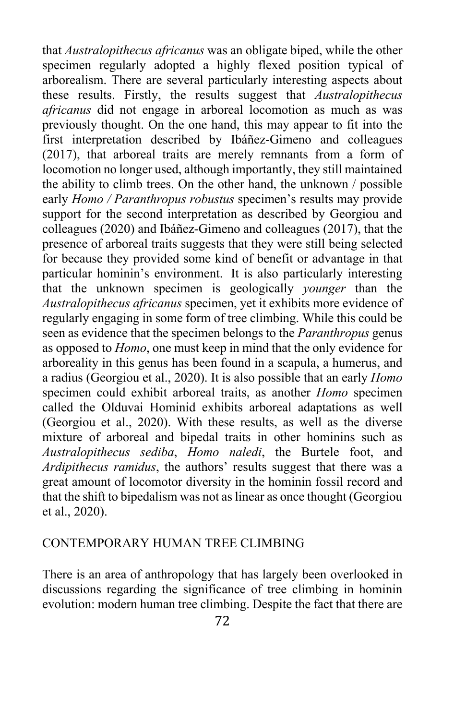that *Australopithecus africanus* was an obligate biped, while the other specimen regularly adopted a highly flexed position typical of arborealism. There are several particularly interesting aspects about these results. Firstly, the results suggest that *Australopithecus africanus* did not engage in arboreal locomotion as much as was previously thought. On the one hand, this may appear to fit into the first interpretation described by Ibáñez-Gimeno and colleagues (2017), that arboreal traits are merely remnants from a form of locomotion no longer used, although importantly, they still maintained the ability to climb trees. On the other hand, the unknown / possible early *Homo / Paranthropus robustus* specimen's results may provide support for the second interpretation as described by Georgiou and colleagues (2020) and Ibáñez-Gimeno and colleagues (2017), that the presence of arboreal traits suggests that they were still being selected for because they provided some kind of benefit or advantage in that particular hominin's environment. It is also particularly interesting that the unknown specimen is geologically *younger* than the *Australopithecus africanus* specimen, yet it exhibits more evidence of regularly engaging in some form of tree climbing. While this could be seen as evidence that the specimen belongs to the *Paranthropus* genus as opposed to *Homo*, one must keep in mind that the only evidence for arboreality in this genus has been found in a scapula, a humerus, and a radius (Georgiou et al., 2020). It is also possible that an early *Homo*  specimen could exhibit arboreal traits, as another *Homo* specimen called the Olduvai Hominid exhibits arboreal adaptations as well (Georgiou et al., 2020). With these results, as well as the diverse mixture of arboreal and bipedal traits in other hominins such as *Australopithecus sediba*, *Homo naledi*, the Burtele foot, and *Ardipithecus ramidus*, the authors' results suggest that there was a great amount of locomotor diversity in the hominin fossil record and that the shift to bipedalism was not as linear as once thought (Georgiou et al., 2020).

## CONTEMPORARY HUMAN TREE CLIMBING

There is an area of anthropology that has largely been overlooked in discussions regarding the significance of tree climbing in hominin evolution: modern human tree climbing. Despite the fact that there are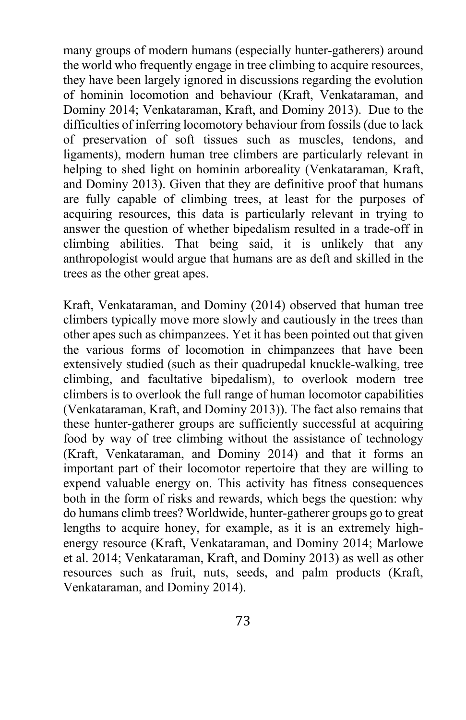many groups of modern humans (especially hunter-gatherers) around the world who frequently engage in tree climbing to acquire resources, they have been largely ignored in discussions regarding the evolution of hominin locomotion and behaviour (Kraft, Venkataraman, and Dominy 2014; Venkataraman, Kraft, and Dominy 2013). Due to the difficulties of inferring locomotory behaviour from fossils (due to lack of preservation of soft tissues such as muscles, tendons, and ligaments), modern human tree climbers are particularly relevant in helping to shed light on hominin arboreality (Venkataraman, Kraft, and Dominy 2013). Given that they are definitive proof that humans are fully capable of climbing trees, at least for the purposes of acquiring resources, this data is particularly relevant in trying to answer the question of whether bipedalism resulted in a trade-off in climbing abilities. That being said, it is unlikely that any anthropologist would argue that humans are as deft and skilled in the trees as the other great apes.

Kraft, Venkataraman, and Dominy (2014) observed that human tree climbers typically move more slowly and cautiously in the trees than other apes such as chimpanzees. Yet it has been pointed out that given the various forms of locomotion in chimpanzees that have been extensively studied (such as their quadrupedal knuckle-walking, tree climbing, and facultative bipedalism), to overlook modern tree climbers is to overlook the full range of human locomotor capabilities (Venkataraman, Kraft, and Dominy 2013)). The fact also remains that these hunter-gatherer groups are sufficiently successful at acquiring food by way of tree climbing without the assistance of technology (Kraft, Venkataraman, and Dominy 2014) and that it forms an important part of their locomotor repertoire that they are willing to expend valuable energy on. This activity has fitness consequences both in the form of risks and rewards, which begs the question: why do humans climb trees? Worldwide, hunter-gatherer groups go to great lengths to acquire honey, for example, as it is an extremely highenergy resource (Kraft, Venkataraman, and Dominy 2014; Marlowe et al. 2014; Venkataraman, Kraft, and Dominy 2013) as well as other resources such as fruit, nuts, seeds, and palm products (Kraft, Venkataraman, and Dominy 2014).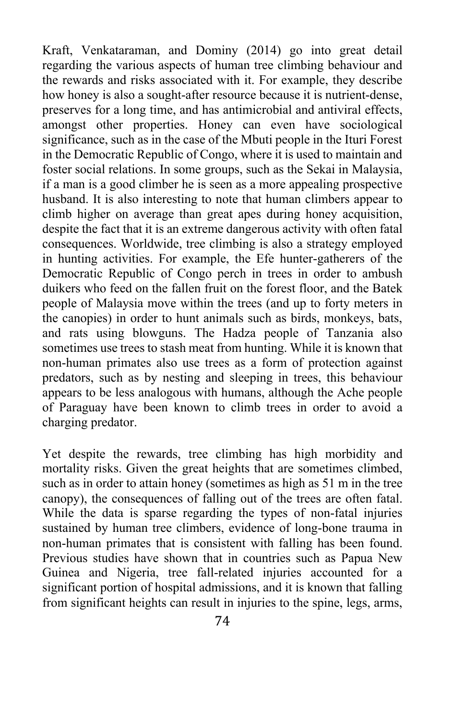Kraft, Venkataraman, and Dominy (2014) go into great detail regarding the various aspects of human tree climbing behaviour and the rewards and risks associated with it. For example, they describe how honey is also a sought-after resource because it is nutrient-dense, preserves for a long time, and has antimicrobial and antiviral effects, amongst other properties. Honey can even have sociological significance, such as in the case of the Mbuti people in the Ituri Forest in the Democratic Republic of Congo, where it is used to maintain and foster social relations. In some groups, such as the Sekai in Malaysia, if a man is a good climber he is seen as a more appealing prospective husband. It is also interesting to note that human climbers appear to climb higher on average than great apes during honey acquisition, despite the fact that it is an extreme dangerous activity with often fatal consequences. Worldwide, tree climbing is also a strategy employed in hunting activities. For example, the Efe hunter-gatherers of the Democratic Republic of Congo perch in trees in order to ambush duikers who feed on the fallen fruit on the forest floor, and the Batek people of Malaysia move within the trees (and up to forty meters in the canopies) in order to hunt animals such as birds, monkeys, bats, and rats using blowguns. The Hadza people of Tanzania also sometimes use trees to stash meat from hunting. While it is known that non-human primates also use trees as a form of protection against predators, such as by nesting and sleeping in trees, this behaviour appears to be less analogous with humans, although the Ache people of Paraguay have been known to climb trees in order to avoid a charging predator.

Yet despite the rewards, tree climbing has high morbidity and mortality risks. Given the great heights that are sometimes climbed, such as in order to attain honey (sometimes as high as 51 m in the tree canopy), the consequences of falling out of the trees are often fatal. While the data is sparse regarding the types of non-fatal injuries sustained by human tree climbers, evidence of long-bone trauma in non-human primates that is consistent with falling has been found. Previous studies have shown that in countries such as Papua New Guinea and Nigeria, tree fall-related injuries accounted for a significant portion of hospital admissions, and it is known that falling from significant heights can result in injuries to the spine, legs, arms,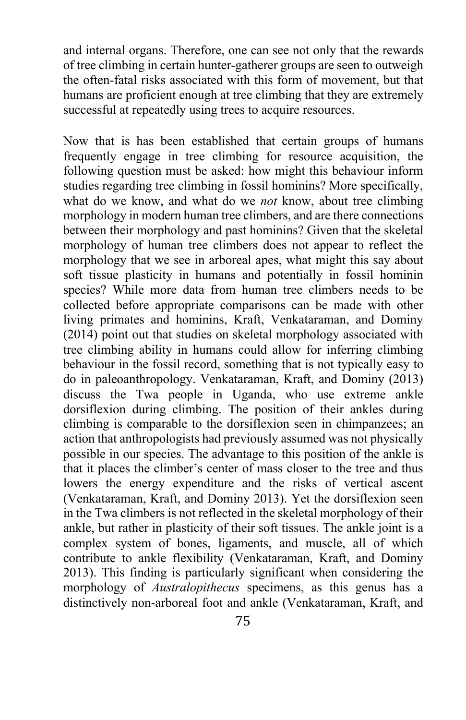and internal organs. Therefore, one can see not only that the rewards of tree climbing in certain hunter-gatherer groups are seen to outweigh the often-fatal risks associated with this form of movement, but that humans are proficient enough at tree climbing that they are extremely successful at repeatedly using trees to acquire resources.

Now that is has been established that certain groups of humans frequently engage in tree climbing for resource acquisition, the following question must be asked: how might this behaviour inform studies regarding tree climbing in fossil hominins? More specifically, what do we know, and what do we *not* know, about tree climbing morphology in modern human tree climbers, and are there connections between their morphology and past hominins? Given that the skeletal morphology of human tree climbers does not appear to reflect the morphology that we see in arboreal apes, what might this say about soft tissue plasticity in humans and potentially in fossil hominin species? While more data from human tree climbers needs to be collected before appropriate comparisons can be made with other living primates and hominins, Kraft, Venkataraman, and Dominy (2014) point out that studies on skeletal morphology associated with tree climbing ability in humans could allow for inferring climbing behaviour in the fossil record, something that is not typically easy to do in paleoanthropology. Venkataraman, Kraft, and Dominy (2013) discuss the Twa people in Uganda, who use extreme ankle dorsiflexion during climbing. The position of their ankles during climbing is comparable to the dorsiflexion seen in chimpanzees; an action that anthropologists had previously assumed was not physically possible in our species. The advantage to this position of the ankle is that it places the climber's center of mass closer to the tree and thus lowers the energy expenditure and the risks of vertical ascent (Venkataraman, Kraft, and Dominy 2013). Yet the dorsiflexion seen in the Twa climbers is not reflected in the skeletal morphology of their ankle, but rather in plasticity of their soft tissues. The ankle joint is a complex system of bones, ligaments, and muscle, all of which contribute to ankle flexibility (Venkataraman, Kraft, and Dominy 2013). This finding is particularly significant when considering the morphology of *Australopithecus* specimens, as this genus has a distinctively non-arboreal foot and ankle (Venkataraman, Kraft, and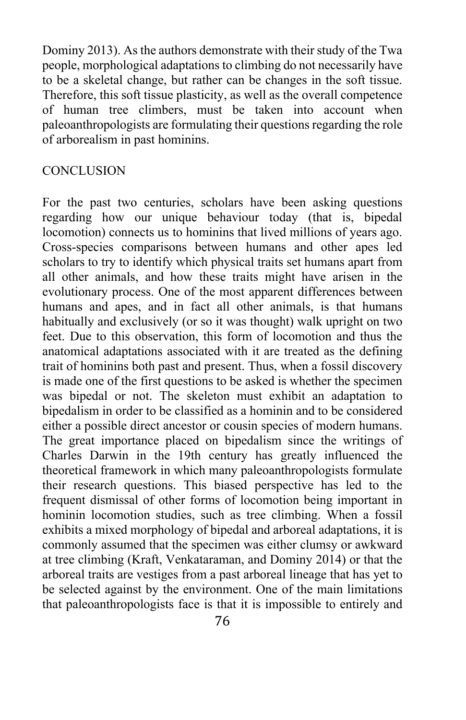Dominy 2013). As the authors demonstrate with their study of the Twa people, morphological adaptations to climbing do not necessarily have to be a skeletal change, but rather can be changes in the soft tissue. Therefore, this soft tissue plasticity, as well as the overall competence of human tree climbers, must be taken into account when paleoanthropologists are formulating their questions regarding the role of arborealism in past hominins.

## **CONCLUSION**

For the past two centuries, scholars have been asking questions regarding how our unique behaviour today (that is, bipedal locomotion) connects us to hominins that lived millions of years ago. Cross-species comparisons between humans and other apes led scholars to try to identify which physical traits set humans apart from all other animals, and how these traits might have arisen in the evolutionary process. One of the most apparent differences between humans and apes, and in fact all other animals, is that humans habitually and exclusively (or so it was thought) walk upright on two feet. Due to this observation, this form of locomotion and thus the anatomical adaptations associated with it are treated as the defining trait of hominins both past and present. Thus, when a fossil discovery is made one of the first questions to be asked is whether the specimen was bipedal or not. The skeleton must exhibit an adaptation to bipedalism in order to be classified as a hominin and to be considered either a possible direct ancestor or cousin species of modern humans. The great importance placed on bipedalism since the writings of Charles Darwin in the 19th century has greatly influenced the theoretical framework in which many paleoanthropologists formulate their research questions. This biased perspective has led to the frequent dismissal of other forms of locomotion being important in hominin locomotion studies, such as tree climbing. When a fossil exhibits a mixed morphology of bipedal and arboreal adaptations, it is commonly assumed that the specimen was either clumsy or awkward at tree climbing (Kraft, Venkataraman, and Dominy 2014) or that the arboreal traits are vestiges from a past arboreal lineage that has yet to be selected against by the environment. One of the main limitations that paleoanthropologists face is that it is impossible to entirely and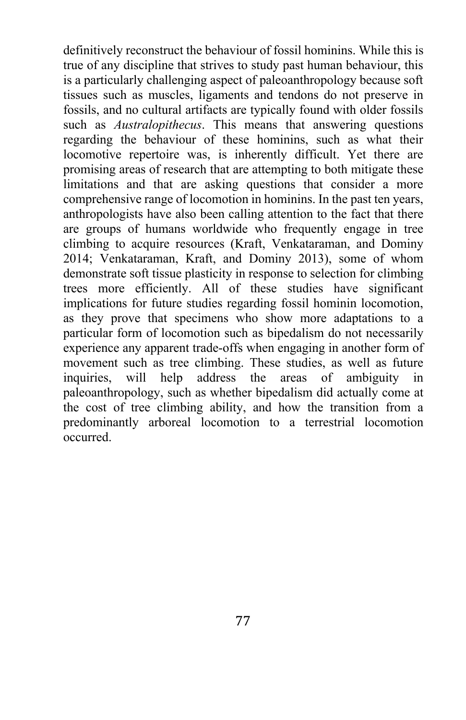definitively reconstruct the behaviour of fossil hominins. While this is true of any discipline that strives to study past human behaviour, this is a particularly challenging aspect of paleoanthropology because soft tissues such as muscles, ligaments and tendons do not preserve in fossils, and no cultural artifacts are typically found with older fossils such as *Australopithecus*. This means that answering questions regarding the behaviour of these hominins, such as what their locomotive repertoire was, is inherently difficult. Yet there are promising areas of research that are attempting to both mitigate these limitations and that are asking questions that consider a more comprehensive range of locomotion in hominins. In the past ten years, anthropologists have also been calling attention to the fact that there are groups of humans worldwide who frequently engage in tree climbing to acquire resources (Kraft, Venkataraman, and Dominy 2014; Venkataraman, Kraft, and Dominy 2013), some of whom demonstrate soft tissue plasticity in response to selection for climbing trees more efficiently. All of these studies have significant implications for future studies regarding fossil hominin locomotion, as they prove that specimens who show more adaptations to a particular form of locomotion such as bipedalism do not necessarily experience any apparent trade-offs when engaging in another form of movement such as tree climbing. These studies, as well as future inquiries, will help address the areas of ambiguity in paleoanthropology, such as whether bipedalism did actually come at the cost of tree climbing ability, and how the transition from a predominantly arboreal locomotion to a terrestrial locomotion occurred.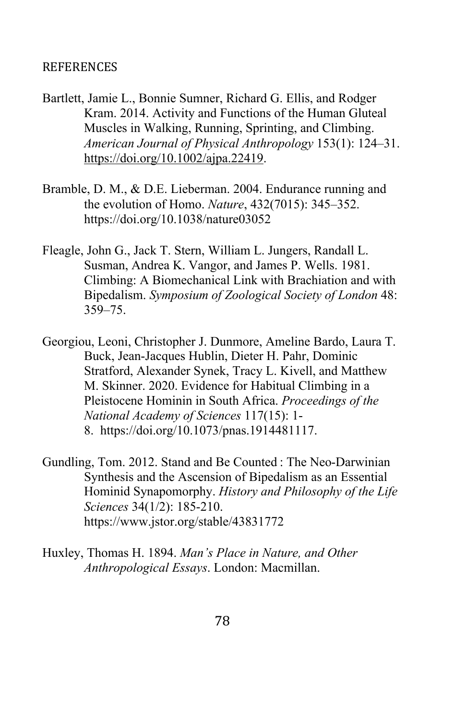#### REFERENCES

- Bartlett, Jamie L., Bonnie Sumner, Richard G. Ellis, and Rodger Kram. 2014. Activity and Functions of the Human Gluteal Muscles in Walking, Running, Sprinting, and Climbing. *American Journal of Physical Anthropology* 153(1): 124–31. https://doi.org/10.1002/ajpa.22419.
- Bramble, D. M., & D.E. Lieberman. 2004. Endurance running and the evolution of Homo. *Nature*, 432(7015): 345–352. https://doi.org/10.1038/nature03052
- Fleagle, John G., Jack T. Stern, William L. Jungers, Randall L. Susman, Andrea K. Vangor, and James P. Wells. 1981. Climbing: A Biomechanical Link with Brachiation and with Bipedalism. *Symposium of Zoological Society of London* 48: 359–75.
- Georgiou, Leoni, Christopher J. Dunmore, Ameline Bardo, Laura T. Buck, Jean-Jacques Hublin, Dieter H. Pahr, Dominic Stratford, Alexander Synek, Tracy L. Kivell, and Matthew M. Skinner. 2020. Evidence for Habitual Climbing in a Pleistocene Hominin in South Africa. *Proceedings of the National Academy of Sciences* 117(15): 1- 8. https://doi.org/10.1073/pnas.1914481117.
- Gundling, Tom. 2012. Stand and Be Counted : The Neo-Darwinian Synthesis and the Ascension of Bipedalism as an Essential Hominid Synapomorphy. *History and Philosophy of the Life Sciences* 34(1/2): 185-210. https://www.jstor.org/stable/43831772
- Huxley, Thomas H. 1894. *Man's Place in Nature, and Other Anthropological Essays*. London: Macmillan.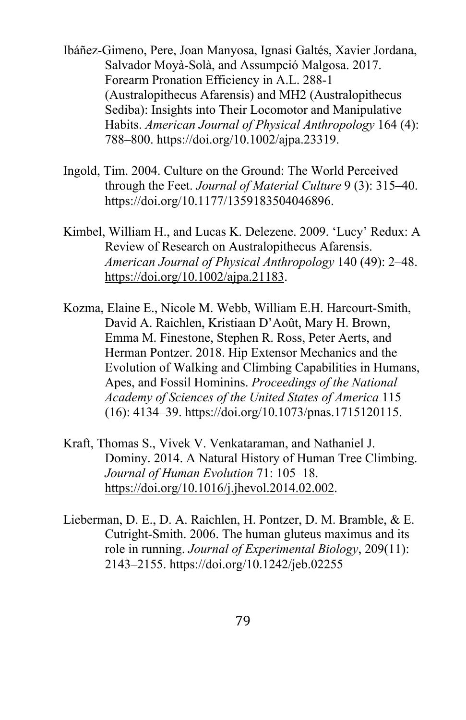- Ibáñez-Gimeno, Pere, Joan Manyosa, Ignasi Galtés, Xavier Jordana, Salvador Moyà-Solà, and Assumpció Malgosa. 2017. Forearm Pronation Efficiency in A.L. 288-1 (Australopithecus Afarensis) and MH2 (Australopithecus Sediba): Insights into Their Locomotor and Manipulative Habits. *American Journal of Physical Anthropology* 164 (4): 788–800. https://doi.org/10.1002/ajpa.23319.
- Ingold, Tim. 2004. Culture on the Ground: The World Perceived through the Feet. *Journal of Material Culture* 9 (3): 315–40. https://doi.org/10.1177/1359183504046896.
- Kimbel, William H., and Lucas K. Delezene. 2009. 'Lucy' Redux: A Review of Research on Australopithecus Afarensis. *American Journal of Physical Anthropology* 140 (49): 2–48. https://doi.org/10.1002/ajpa.21183.
- Kozma, Elaine E., Nicole M. Webb, William E.H. Harcourt-Smith, David A. Raichlen, Kristiaan D'Août, Mary H. Brown, Emma M. Finestone, Stephen R. Ross, Peter Aerts, and Herman Pontzer. 2018. Hip Extensor Mechanics and the Evolution of Walking and Climbing Capabilities in Humans, Apes, and Fossil Hominins. *Proceedings of the National Academy of Sciences of the United States of America* 115 (16): 4134–39. https://doi.org/10.1073/pnas.1715120115.
- Kraft, Thomas S., Vivek V. Venkataraman, and Nathaniel J. Dominy. 2014. A Natural History of Human Tree Climbing. *Journal of Human Evolution* 71: 105–18. https://doi.org/10.1016/j.jhevol.2014.02.002.
- Lieberman, D. E., D. A. Raichlen, H. Pontzer, D. M. Bramble, & E. Cutright-Smith. 2006. The human gluteus maximus and its role in running. *Journal of Experimental Biology*, 209(11): 2143–2155. https://doi.org/10.1242/jeb.02255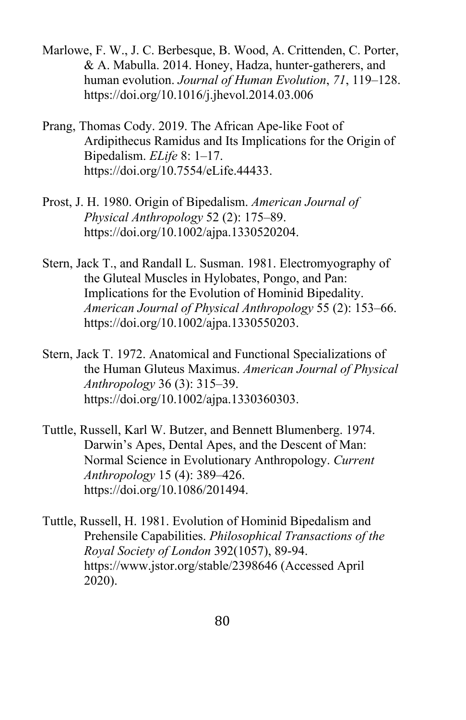- Marlowe, F. W., J. C. Berbesque, B. Wood, A. Crittenden, C. Porter, & A. Mabulla. 2014. Honey, Hadza, hunter-gatherers, and human evolution. *Journal of Human Evolution*, *71*, 119–128. https://doi.org/10.1016/j.jhevol.2014.03.006
- Prang, Thomas Cody. 2019. The African Ape-like Foot of Ardipithecus Ramidus and Its Implications for the Origin of Bipedalism. *ELife* 8: 1–17. https://doi.org/10.7554/eLife.44433.
- Prost, J. H. 1980. Origin of Bipedalism. *American Journal of Physical Anthropology* 52 (2): 175–89. https://doi.org/10.1002/ajpa.1330520204.
- Stern, Jack T., and Randall L. Susman. 1981. Electromyography of the Gluteal Muscles in Hylobates, Pongo, and Pan: Implications for the Evolution of Hominid Bipedality. *American Journal of Physical Anthropology* 55 (2): 153–66. https://doi.org/10.1002/ajpa.1330550203.
- Stern, Jack T. 1972. Anatomical and Functional Specializations of the Human Gluteus Maximus. *American Journal of Physical Anthropology* 36 (3): 315–39. https://doi.org/10.1002/ajpa.1330360303.
- Tuttle, Russell, Karl W. Butzer, and Bennett Blumenberg. 1974. Darwin's Apes, Dental Apes, and the Descent of Man: Normal Science in Evolutionary Anthropology. *Current Anthropology* 15 (4): 389–426. https://doi.org/10.1086/201494.
- Tuttle, Russell, H. 1981. Evolution of Hominid Bipedalism and Prehensile Capabilities. *Philosophical Transactions of the Royal Society of London* 392(1057), 89-94. https://www.jstor.org/stable/2398646 (Accessed April 2020).